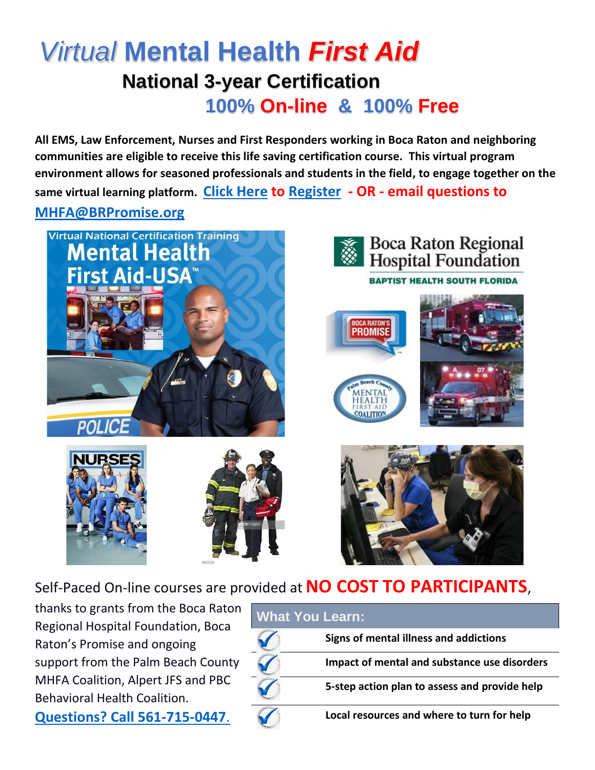## *Virtual* **Mental Health** *First Aid* **National 3-year Certification 100% On-line & 100% Free**

**All EMS, Law Enforcement, Nurses and First Responders working in Boca Raton and neighboring communities are eligible to receive this life saving certification course. This virtual program environment allows for seasoned professionals and students in the field, to engage together on the same virtual learning platform. [Click Here](https://forms.wix.com/611a1a92-c4a6-4f0d-a3ec-c80791eb3713:6650a396-cd00-4a04-a452-1efdf642747c) to [Register](https://forms.wix.com/611a1a92-c4a6-4f0d-a3ec-c80791eb3713:6650a396-cd00-4a04-a452-1efdf642747c) - OR - email questions to [MHFA@BRPromise.org](https://forms.wix.com/611a1a92-c4a6-4f0d-a3ec-c80791eb3713:6650a396-cd00-4a04-a452-1efdf642747c)**









Self-Paced On-line courses are provided at **NO COST TO PARTICIPANTS**,

thanks to grants from the Boca Raton Regional Hospital Foundation, Boca Raton's Promise and ongoing support from the Palm Beach County MHFA Coalition, Alpert JFS and PBC Behavioral Health Coalition.

**Questions? [Call 561-715-0447](https://forms.wix.com/611a1a92-c4a6-4f0d-a3ec-c80791eb3713:6650a396-cd00-4a04-a452-1efdf642747c)**.

| <b>What You Learn:</b> |                                               |
|------------------------|-----------------------------------------------|
|                        | Signs of mental illness and addictions        |
|                        | Impact of mental and substance use disorders  |
|                        | 5-step action plan to assess and provide help |
|                        | Local resources and where to turn for help    |